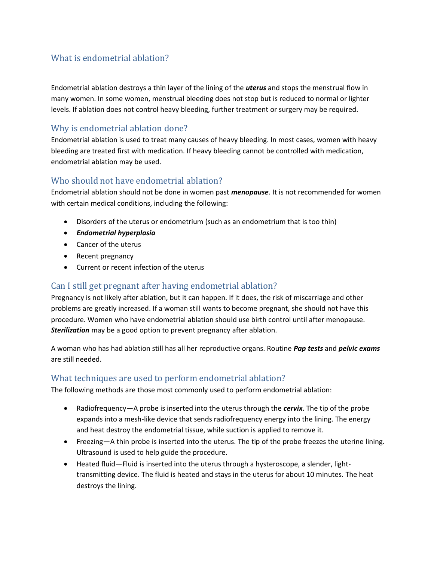# What is endometrial ablation?

Endometrial ablation destroys a thin layer of the lining of the *uterus* and stops the menstrual flow in many women. In some women, menstrual bleeding does not stop but is reduced to normal or lighter levels. If ablation does not control heavy bleeding, further treatment or surgery may be required.

## Why is endometrial ablation done?

Endometrial ablation is used to treat many causes of heavy bleeding. In most cases, women with heavy bleeding are treated first with medication. If heavy bleeding cannot be controlled with medication, endometrial ablation may be used.

### Who should not have endometrial ablation?

Endometrial ablation should not be done in women past *menopause*. It is not recommended for women with certain medical conditions, including the following:

- Disorders of the uterus or endometrium (such as an endometrium that is too thin)
- *Endometrial hyperplasia*
- Cancer of the uterus
- Recent pregnancy
- Current or recent infection of the uterus

### Can I still get pregnant after having endometrial ablation?

Pregnancy is not likely after ablation, but it can happen. If it does, the risk of miscarriage and other problems are greatly increased. If a woman still wants to become pregnant, she should not have this procedure. Women who have endometrial ablation should use birth control until after menopause. *Sterilization* may be a good option to prevent pregnancy after ablation.

A woman who has had ablation still has all her reproductive organs. Routine *Pap tests* and *pelvic exams* are still needed.

#### What techniques are used to perform endometrial ablation?

The following methods are those most commonly used to perform endometrial ablation:

- Radiofrequency—A probe is inserted into the uterus through the *cervix*. The tip of the probe expands into a mesh-like device that sends radiofrequency energy into the lining. The energy and heat destroy the endometrial tissue, while suction is applied to remove it.
- Freezing—A thin probe is inserted into the uterus. The tip of the probe freezes the uterine lining. Ultrasound is used to help guide the procedure.
- Heated fluid—Fluid is inserted into the uterus through a hysteroscope, a slender, lighttransmitting device. The fluid is heated and stays in the uterus for about 10 minutes. The heat destroys the lining.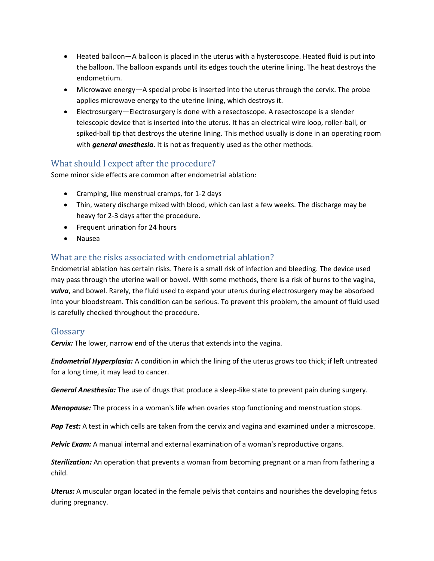- Heated balloon—A balloon is placed in the uterus with a hysteroscope. Heated fluid is put into the balloon. The balloon expands until its edges touch the uterine lining. The heat destroys the endometrium.
- Microwave energy—A special probe is inserted into the uterus through the cervix. The probe applies microwave energy to the uterine lining, which destroys it.
- Electrosurgery—Electrosurgery is done with a resectoscope. A resectoscope is a slender telescopic device that is inserted into the uterus. It has an electrical wire loop, roller-ball, or spiked-ball tip that destroys the uterine lining. This method usually is done in an operating room with *general anesthesia*. It is not as frequently used as the other methods.

# What should I expect after the procedure?

Some minor side effects are common after endometrial ablation:

- Cramping, like menstrual cramps, for 1-2 days
- Thin, watery discharge mixed with blood, which can last a few weeks. The discharge may be heavy for 2-3 days after the procedure.
- Frequent urination for 24 hours
- Nausea

# What are the risks associated with endometrial ablation?

Endometrial ablation has certain risks. There is a small risk of infection and bleeding. The device used may pass through the uterine wall or bowel. With some methods, there is a risk of burns to the vagina, *vulva*, and bowel. Rarely, the fluid used to expand your uterus during electrosurgery may be absorbed into your bloodstream. This condition can be serious. To prevent this problem, the amount of fluid used is carefully checked throughout the procedure.

### Glossary

*Cervix:* The lower, narrow end of the uterus that extends into the vagina.

*Endometrial Hyperplasia:* A condition in which the lining of the uterus grows too thick; if left untreated for a long time, it may lead to cancer.

*General Anesthesia:* The use of drugs that produce a sleep-like state to prevent pain during surgery.

*Menopause:* The process in a woman's life when ovaries stop functioning and menstruation stops.

*Pap Test:* A test in which cells are taken from the cervix and vagina and examined under a microscope.

*Pelvic Exam:* A manual internal and external examination of a woman's reproductive organs.

*Sterilization:* An operation that prevents a woman from becoming pregnant or a man from fathering a child.

*Uterus:* A muscular organ located in the female pelvis that contains and nourishes the developing fetus during pregnancy.